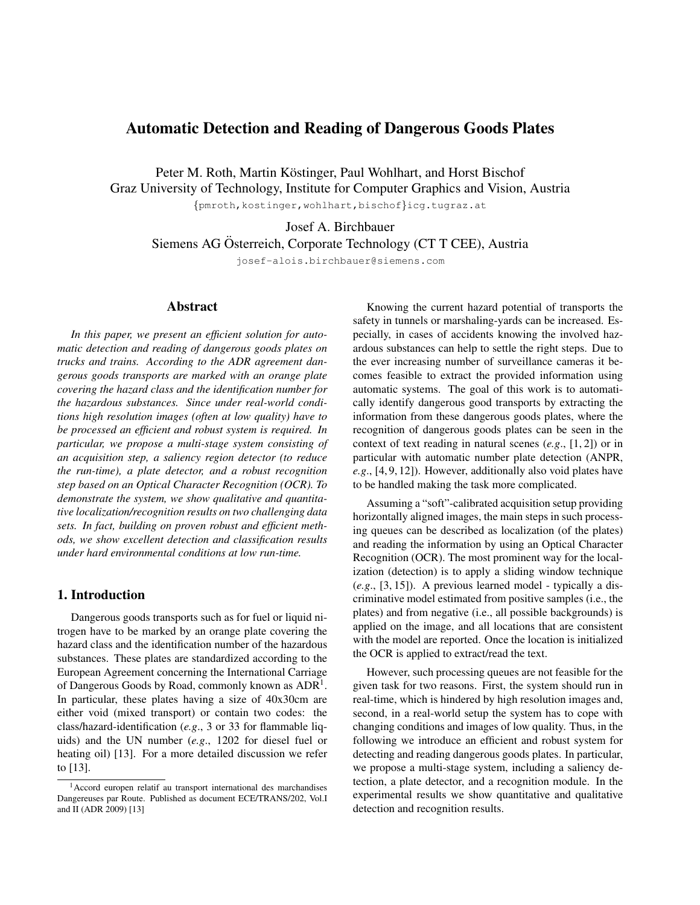# Automatic Detection and Reading of Dangerous Goods Plates

Peter M. Roth, Martin Köstinger, Paul Wohlhart, and Horst Bischof Graz University of Technology, Institute for Computer Graphics and Vision, Austria

{pmroth,kostinger,wohlhart,bischof}icg.tugraz.at

Josef A. Birchbauer

Siemens AG Osterreich, Corporate Technology (CT T CEE), Austria ¨

josef-alois.birchbauer@siemens.com

# Abstract

*In this paper, we present an efficient solution for automatic detection and reading of dangerous goods plates on trucks and trains. According to the ADR agreement dangerous goods transports are marked with an orange plate covering the hazard class and the identification number for the hazardous substances. Since under real-world conditions high resolution images (often at low quality) have to be processed an efficient and robust system is required. In particular, we propose a multi-stage system consisting of an acquisition step, a saliency region detector (to reduce the run-time), a plate detector, and a robust recognition step based on an Optical Character Recognition (OCR). To demonstrate the system, we show qualitative and quantitative localization/recognition results on two challenging data sets. In fact, building on proven robust and efficient methods, we show excellent detection and classification results under hard environmental conditions at low run-time.*

## 1. Introduction

Dangerous goods transports such as for fuel or liquid nitrogen have to be marked by an orange plate covering the hazard class and the identification number of the hazardous substances. These plates are standardized according to the European Agreement concerning the International Carriage of Dangerous Goods by Road, commonly known as  $ADR<sup>1</sup>$ . In particular, these plates having a size of 40x30cm are either void (mixed transport) or contain two codes: the class/hazard-identification (*e.g*., 3 or 33 for flammable liquids) and the UN number (*e.g*., 1202 for diesel fuel or heating oil) [13]. For a more detailed discussion we refer to [13].

Knowing the current hazard potential of transports the safety in tunnels or marshaling-yards can be increased. Especially, in cases of accidents knowing the involved hazardous substances can help to settle the right steps. Due to the ever increasing number of surveillance cameras it becomes feasible to extract the provided information using automatic systems. The goal of this work is to automatically identify dangerous good transports by extracting the information from these dangerous goods plates, where the recognition of dangerous goods plates can be seen in the context of text reading in natural scenes (*e.g*., [1, 2]) or in particular with automatic number plate detection (ANPR, *e.g*., [4, 9, 12]). However, additionally also void plates have to be handled making the task more complicated.

Assuming a "soft"-calibrated acquisition setup providing horizontally aligned images, the main steps in such processing queues can be described as localization (of the plates) and reading the information by using an Optical Character Recognition (OCR). The most prominent way for the localization (detection) is to apply a sliding window technique (*e.g*., [3, 15]). A previous learned model - typically a discriminative model estimated from positive samples (i.e., the plates) and from negative (i.e., all possible backgrounds) is applied on the image, and all locations that are consistent with the model are reported. Once the location is initialized the OCR is applied to extract/read the text.

However, such processing queues are not feasible for the given task for two reasons. First, the system should run in real-time, which is hindered by high resolution images and, second, in a real-world setup the system has to cope with changing conditions and images of low quality. Thus, in the following we introduce an efficient and robust system for detecting and reading dangerous goods plates. In particular, we propose a multi-stage system, including a saliency detection, a plate detector, and a recognition module. In the experimental results we show quantitative and qualitative detection and recognition results.

<sup>1</sup>Accord europen relatif au transport international des marchandises Dangereuses par Route. Published as document ECE/TRANS/202, Vol.I and II (ADR 2009) [13]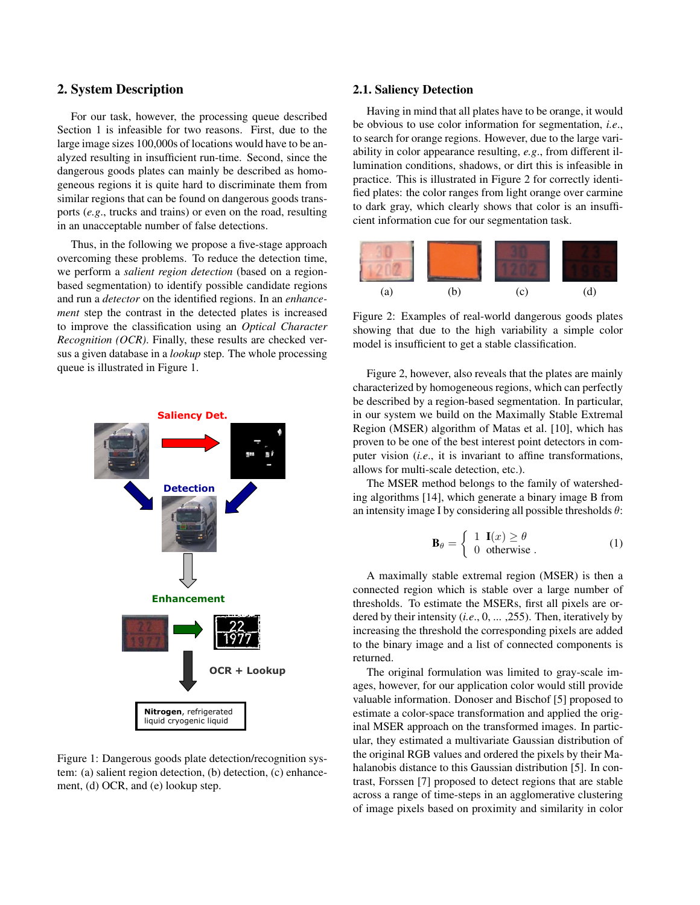# 2. System Description

For our task, however, the processing queue described Section 1 is infeasible for two reasons. First, due to the large image sizes 100,000s of locations would have to be analyzed resulting in insufficient run-time. Second, since the dangerous goods plates can mainly be described as homogeneous regions it is quite hard to discriminate them from similar regions that can be found on dangerous goods transports (*e.g*., trucks and trains) or even on the road, resulting in an unacceptable number of false detections.

Thus, in the following we propose a five-stage approach overcoming these problems. To reduce the detection time, we perform a *salient region detection* (based on a regionbased segmentation) to identify possible candidate regions and run a *detector* on the identified regions. In an *enhancement* step the contrast in the detected plates is increased to improve the classification using an *Optical Character Recognition (OCR)*. Finally, these results are checked versus a given database in a *lookup* step. The whole processing queue is illustrated in Figure 1.



Figure 1: Dangerous goods plate detection/recognition system: (a) salient region detection, (b) detection, (c) enhancement, (d) OCR, and (e) lookup step.

#### 2.1. Saliency Detection

Having in mind that all plates have to be orange, it would be obvious to use color information for segmentation, *i.e*., to search for orange regions. However, due to the large variability in color appearance resulting, *e.g*., from different illumination conditions, shadows, or dirt this is infeasible in practice. This is illustrated in Figure 2 for correctly identified plates: the color ranges from light orange over carmine to dark gray, which clearly shows that color is an insufficient information cue for our segmentation task.



Figure 2: Examples of real-world dangerous goods plates showing that due to the high variability a simple color model is insufficient to get a stable classification.

Figure 2, however, also reveals that the plates are mainly characterized by homogeneous regions, which can perfectly be described by a region-based segmentation. In particular, in our system we build on the Maximally Stable Extremal Region (MSER) algorithm of Matas et al. [10], which has proven to be one of the best interest point detectors in computer vision (*i.e*., it is invariant to affine transformations, allows for multi-scale detection, etc.).

The MSER method belongs to the family of watersheding algorithms [14], which generate a binary image B from an intensity image I by considering all possible thresholds  $\theta$ :

$$
\mathbf{B}_{\theta} = \begin{cases} 1 & \mathbf{I}(x) \ge \theta \\ 0 & \text{otherwise} \end{cases}
$$
 (1)

A maximally stable extremal region (MSER) is then a connected region which is stable over a large number of thresholds. To estimate the MSERs, first all pixels are ordered by their intensity (*i.e*., 0, ... ,255). Then, iteratively by increasing the threshold the corresponding pixels are added to the binary image and a list of connected components is returned.

The original formulation was limited to gray-scale images, however, for our application color would still provide valuable information. Donoser and Bischof [5] proposed to estimate a color-space transformation and applied the original MSER approach on the transformed images. In particular, they estimated a multivariate Gaussian distribution of the original RGB values and ordered the pixels by their Mahalanobis distance to this Gaussian distribution [5]. In contrast, Forssen [7] proposed to detect regions that are stable across a range of time-steps in an agglomerative clustering of image pixels based on proximity and similarity in color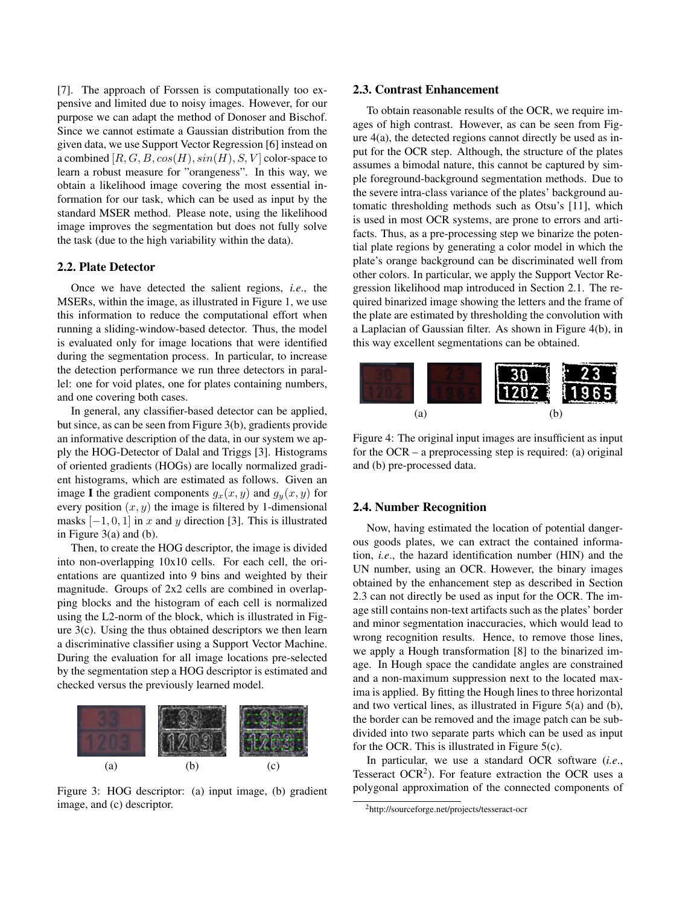[7]. The approach of Forssen is computationally too expensive and limited due to noisy images. However, for our purpose we can adapt the method of Donoser and Bischof. Since we cannot estimate a Gaussian distribution from the given data, we use Support Vector Regression [6] instead on a combined  $[R, G, B, cos(H), sin(H), S, V]$  color-space to learn a robust measure for "orangeness". In this way, we obtain a likelihood image covering the most essential information for our task, which can be used as input by the standard MSER method. Please note, using the likelihood image improves the segmentation but does not fully solve the task (due to the high variability within the data).

### 2.2. Plate Detector

Once we have detected the salient regions, *i.e*., the MSERs, within the image, as illustrated in Figure 1, we use this information to reduce the computational effort when running a sliding-window-based detector. Thus, the model is evaluated only for image locations that were identified during the segmentation process. In particular, to increase the detection performance we run three detectors in parallel: one for void plates, one for plates containing numbers, and one covering both cases.

In general, any classifier-based detector can be applied, but since, as can be seen from Figure 3(b), gradients provide an informative description of the data, in our system we apply the HOG-Detector of Dalal and Triggs [3]. Histograms of oriented gradients (HOGs) are locally normalized gradient histograms, which are estimated as follows. Given an image I the gradient components  $g_x(x, y)$  and  $g_y(x, y)$  for every position  $(x, y)$  the image is filtered by 1-dimensional masks  $[-1, 0, 1]$  in x and y direction [3]. This is illustrated in Figure 3(a) and (b).

Then, to create the HOG descriptor, the image is divided into non-overlapping 10x10 cells. For each cell, the orientations are quantized into 9 bins and weighted by their magnitude. Groups of 2x2 cells are combined in overlapping blocks and the histogram of each cell is normalized using the L2-norm of the block, which is illustrated in Figure 3(c). Using the thus obtained descriptors we then learn a discriminative classifier using a Support Vector Machine. During the evaluation for all image locations pre-selected by the segmentation step a HOG descriptor is estimated and checked versus the previously learned model.



Figure 3: HOG descriptor: (a) input image, (b) gradient image, and (c) descriptor.

#### 2.3. Contrast Enhancement

To obtain reasonable results of the OCR, we require images of high contrast. However, as can be seen from Figure 4(a), the detected regions cannot directly be used as input for the OCR step. Although, the structure of the plates assumes a bimodal nature, this cannot be captured by simple foreground-background segmentation methods. Due to the severe intra-class variance of the plates' background automatic thresholding methods such as Otsu's [11], which is used in most OCR systems, are prone to errors and artifacts. Thus, as a pre-processing step we binarize the potential plate regions by generating a color model in which the plate's orange background can be discriminated well from other colors. In particular, we apply the Support Vector Regression likelihood map introduced in Section 2.1. The required binarized image showing the letters and the frame of the plate are estimated by thresholding the convolution with a Laplacian of Gaussian filter. As shown in Figure 4(b), in this way excellent segmentations can be obtained.



Figure 4: The original input images are insufficient as input for the OCR – a preprocessing step is required: (a) original and (b) pre-processed data.

## 2.4. Number Recognition

Now, having estimated the location of potential dangerous goods plates, we can extract the contained information, *i.e*., the hazard identification number (HIN) and the UN number, using an OCR. However, the binary images obtained by the enhancement step as described in Section 2.3 can not directly be used as input for the OCR. The image still contains non-text artifacts such as the plates' border and minor segmentation inaccuracies, which would lead to wrong recognition results. Hence, to remove those lines, we apply a Hough transformation [8] to the binarized image. In Hough space the candidate angles are constrained and a non-maximum suppression next to the located maxima is applied. By fitting the Hough lines to three horizontal and two vertical lines, as illustrated in Figure 5(a) and (b), the border can be removed and the image patch can be subdivided into two separate parts which can be used as input for the OCR. This is illustrated in Figure 5(c).

In particular, we use a standard OCR software (*i.e*., Tesseract OCR<sup>2</sup>). For feature extraction the OCR uses a polygonal approximation of the connected components of

<sup>2</sup>http://sourceforge.net/projects/tesseract-ocr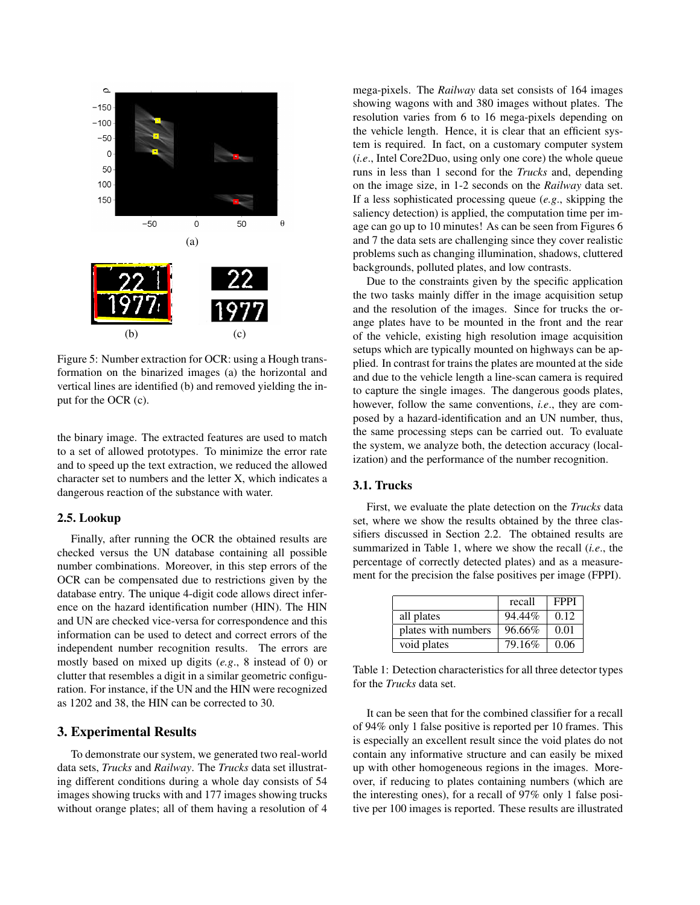

Figure 5: Number extraction for OCR: using a Hough transformation on the binarized images (a) the horizontal and vertical lines are identified (b) and removed yielding the input for the OCR (c).

the binary image. The extracted features are used to match to a set of allowed prototypes. To minimize the error rate and to speed up the text extraction, we reduced the allowed character set to numbers and the letter X, which indicates a dangerous reaction of the substance with water.

## 2.5. Lookup

Finally, after running the OCR the obtained results are checked versus the UN database containing all possible number combinations. Moreover, in this step errors of the OCR can be compensated due to restrictions given by the database entry. The unique 4-digit code allows direct inference on the hazard identification number (HIN). The HIN and UN are checked vice-versa for correspondence and this information can be used to detect and correct errors of the independent number recognition results. The errors are mostly based on mixed up digits (*e.g*., 8 instead of 0) or clutter that resembles a digit in a similar geometric configuration. For instance, if the UN and the HIN were recognized as 1202 and 38, the HIN can be corrected to 30.

# 3. Experimental Results

To demonstrate our system, we generated two real-world data sets, *Trucks* and *Railway*. The *Trucks* data set illustrating different conditions during a whole day consists of 54 images showing trucks with and 177 images showing trucks without orange plates; all of them having a resolution of 4 mega-pixels. The *Railway* data set consists of 164 images showing wagons with and 380 images without plates. The resolution varies from 6 to 16 mega-pixels depending on the vehicle length. Hence, it is clear that an efficient system is required. In fact, on a customary computer system (*i.e*., Intel Core2Duo, using only one core) the whole queue runs in less than 1 second for the *Trucks* and, depending on the image size, in 1-2 seconds on the *Railway* data set. If a less sophisticated processing queue (*e.g*., skipping the saliency detection) is applied, the computation time per image can go up to 10 minutes! As can be seen from Figures 6 and 7 the data sets are challenging since they cover realistic problems such as changing illumination, shadows, cluttered backgrounds, polluted plates, and low contrasts.

Due to the constraints given by the specific application the two tasks mainly differ in the image acquisition setup and the resolution of the images. Since for trucks the orange plates have to be mounted in the front and the rear of the vehicle, existing high resolution image acquisition setups which are typically mounted on highways can be applied. In contrast for trains the plates are mounted at the side and due to the vehicle length a line-scan camera is required to capture the single images. The dangerous goods plates, however, follow the same conventions, *i.e*., they are composed by a hazard-identification and an UN number, thus, the same processing steps can be carried out. To evaluate the system, we analyze both, the detection accuracy (localization) and the performance of the number recognition.

#### 3.1. Trucks

First, we evaluate the plate detection on the *Trucks* data set, where we show the results obtained by the three classifiers discussed in Section 2.2. The obtained results are summarized in Table 1, where we show the recall (*i.e*., the percentage of correctly detected plates) and as a measurement for the precision the false positives per image (FPPI).

|                     | recall | <b>FPPI</b> |
|---------------------|--------|-------------|
| all plates          | 94.44% | 0.12        |
| plates with numbers | 96.66% | 0.01        |
| void plates         | 79.16% | 0.06        |

Table 1: Detection characteristics for all three detector types for the *Trucks* data set.

It can be seen that for the combined classifier for a recall of 94% only 1 false positive is reported per 10 frames. This is especially an excellent result since the void plates do not contain any informative structure and can easily be mixed up with other homogeneous regions in the images. Moreover, if reducing to plates containing numbers (which are the interesting ones), for a recall of 97% only 1 false positive per 100 images is reported. These results are illustrated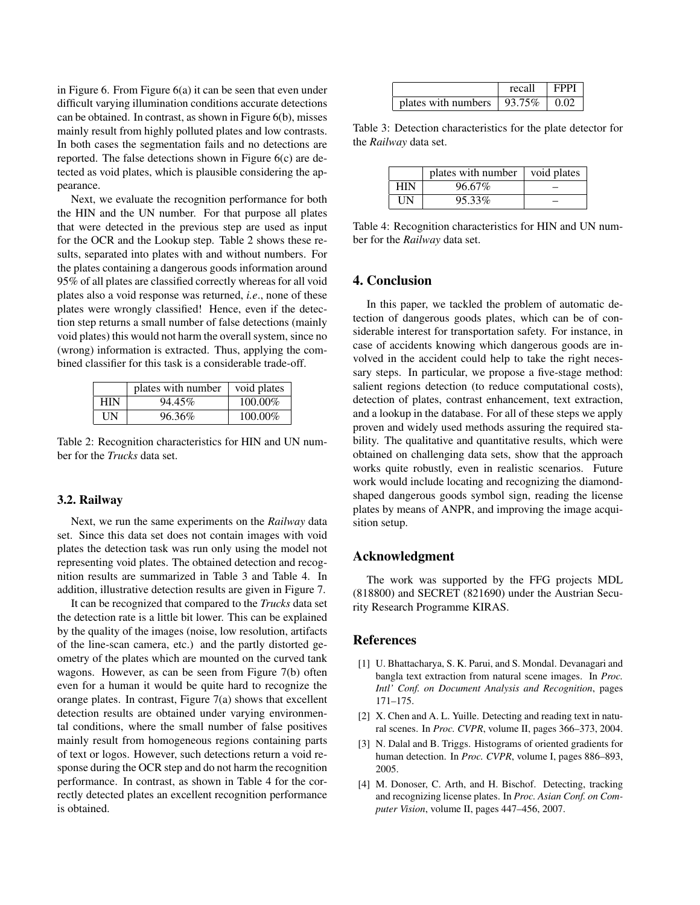in Figure 6. From Figure 6(a) it can be seen that even under difficult varying illumination conditions accurate detections can be obtained. In contrast, as shown in Figure 6(b), misses mainly result from highly polluted plates and low contrasts. In both cases the segmentation fails and no detections are reported. The false detections shown in Figure 6(c) are detected as void plates, which is plausible considering the appearance.

Next, we evaluate the recognition performance for both the HIN and the UN number. For that purpose all plates that were detected in the previous step are used as input for the OCR and the Lookup step. Table 2 shows these results, separated into plates with and without numbers. For the plates containing a dangerous goods information around 95% of all plates are classified correctly whereas for all void plates also a void response was returned, *i.e*., none of these plates were wrongly classified! Hence, even if the detection step returns a small number of false detections (mainly void plates) this would not harm the overall system, since no (wrong) information is extracted. Thus, applying the combined classifier for this task is a considerable trade-off.

|     | plates with number | void plates |
|-----|--------------------|-------------|
| HIN | 94.45%             | 100.00%     |
| UN  | 96.36%             | 100.00%     |

Table 2: Recognition characteristics for HIN and UN number for the *Trucks* data set.

#### 3.2. Railway

Next, we run the same experiments on the *Railway* data set. Since this data set does not contain images with void plates the detection task was run only using the model not representing void plates. The obtained detection and recognition results are summarized in Table 3 and Table 4. In addition, illustrative detection results are given in Figure 7.

It can be recognized that compared to the *Trucks* data set the detection rate is a little bit lower. This can be explained by the quality of the images (noise, low resolution, artifacts of the line-scan camera, etc.) and the partly distorted geometry of the plates which are mounted on the curved tank wagons. However, as can be seen from Figure 7(b) often even for a human it would be quite hard to recognize the orange plates. In contrast, Figure 7(a) shows that excellent detection results are obtained under varying environmental conditions, where the small number of false positives mainly result from homogeneous regions containing parts of text or logos. However, such detections return a void response during the OCR step and do not harm the recognition performance. In contrast, as shown in Table 4 for the correctly detected plates an excellent recognition performance is obtained.

|                                    | recall | <b>FPPI</b> |
|------------------------------------|--------|-------------|
| plates with numbers $\vert$ 93.75% |        | 0.02        |

Table 3: Detection characteristics for the plate detector for the *Railway* data set.

|            | plates with number | void plates |
|------------|--------------------|-------------|
| <b>HIN</b> | 96.67%             |             |
| UN         | 95.33%             |             |

Table 4: Recognition characteristics for HIN and UN number for the *Railway* data set.

## 4. Conclusion

In this paper, we tackled the problem of automatic detection of dangerous goods plates, which can be of considerable interest for transportation safety. For instance, in case of accidents knowing which dangerous goods are involved in the accident could help to take the right necessary steps. In particular, we propose a five-stage method: salient regions detection (to reduce computational costs), detection of plates, contrast enhancement, text extraction, and a lookup in the database. For all of these steps we apply proven and widely used methods assuring the required stability. The qualitative and quantitative results, which were obtained on challenging data sets, show that the approach works quite robustly, even in realistic scenarios. Future work would include locating and recognizing the diamondshaped dangerous goods symbol sign, reading the license plates by means of ANPR, and improving the image acquisition setup.

# Acknowledgment

The work was supported by the FFG projects MDL (818800) and SECRET (821690) under the Austrian Security Research Programme KIRAS.

# References

- [1] U. Bhattacharya, S. K. Parui, and S. Mondal. Devanagari and bangla text extraction from natural scene images. In *Proc. Intl' Conf. on Document Analysis and Recognition*, pages 171–175.
- [2] X. Chen and A. L. Yuille. Detecting and reading text in natural scenes. In *Proc. CVPR*, volume II, pages 366–373, 2004.
- [3] N. Dalal and B. Triggs. Histograms of oriented gradients for human detection. In *Proc. CVPR*, volume I, pages 886–893, 2005.
- [4] M. Donoser, C. Arth, and H. Bischof. Detecting, tracking and recognizing license plates. In *Proc. Asian Conf. on Computer Vision*, volume II, pages 447–456, 2007.